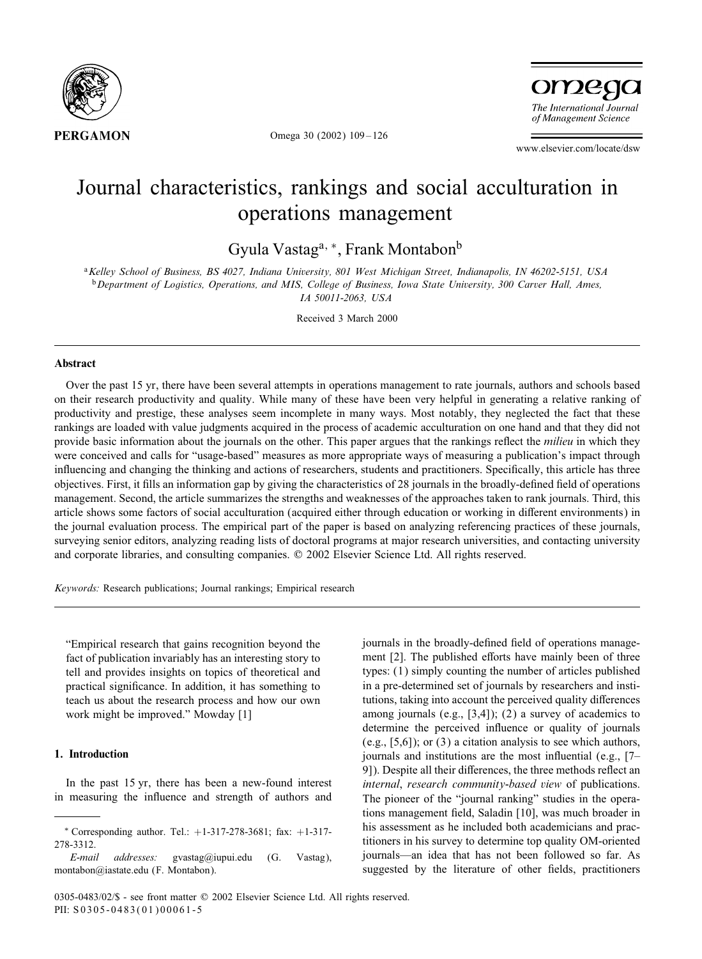

Omega 30 (2002) 109 – 126

omego The International Journal of Management Science

www.elsevier.com/locate/dsw

## Journal characteristics, rankings and social acculturation in operations management

Gyula Vastag<sup>a, ∗</sup>, Frank Montabon<sup>b</sup>

<sup>a</sup>*Kelley School of Business, BS 4027, Indiana University, 801 West Michigan Street, Indianapolis, IN 46202-5151, USA* <sup>b</sup>*Department of Logistics, Operations, and MIS, College of Business, Iowa State University, 300 Carver Hall, Ames,*

*IA 50011-2063, USA*

Received 3 March 2000

#### **Abstract**

Over the past 15 yr, there have been several attempts in operations management to rate journals, authors and schools based on their research productivity and quality. While many of these have been very helpful in generating a relative ranking of productivity and prestige, these analyses seem incomplete in many ways. Most notably, they neglected the fact that these rankings are loaded with value judgments acquired in the process of academic acculturation on one hand and that they did not provide basic information about the journals on the other. This paper argues that the rankings reflect the *milieu* in which they were conceived and calls for "usage-based" measures as more appropriate ways of measuring a publication's impact through influencing and changing the thinking and actions of researchers, students and practitioners. Specifically, this article has three objectives. First, it fills an information gap by giving the characteristics of 28 journals in the broadly-defined field of operations management. Second, the article summarizes the strengths and weaknesses of the approaches taken to rank journals. Third, this article shows some factors of social acculturation (acquired either through education or working in different environments) in the journal evaluation process. The empirical part of the paper is based on analyzing referencing practices of these journals, surveying senior editors, analyzing reading lists of doctoral programs at major research universities, and contacting university and corporate libraries, and consulting companies.  $\oslash$  2002 Elsevier Science Ltd. All rights reserved.

*Keywords:* Research publications; Journal rankings; Empirical research

"Empirical research that gains recognition beyond the fact of publication invariably has an interesting story to tell and provides insights on topics of theoretical and practical significance. In addition, it has something to teach us about the research process and how our own work might be improved." Mowday [1]

### **1. Introduction**

In the past 15 yr, there has been a new-found interest in measuring the influence and strength of authors and journals in the broadly-defined field of operations management [2]. The published efforts have mainly been of three types: (1) simply counting the number of articles published in a pre-determined set of journals by researchers and institutions, taking into account the perceived quality differences among journals (e.g., [3,4]); (2) a survey of academics to determine the perceived influence or quality of journals (e.g., [5,6]); or (3) a citation analysis to see which authors, journals and institutions are the most influential (e.g.,  $[7-$ 9]). Despite all their differences, the three methods reflect an *internal*, *research community-based view* of publications. The pioneer of the "journal ranking" studies in the operations management field, Saladin [10], was much broader in his assessment as he included both academicians and practitioners in his survey to determine top quality OM-oriented journals—an idea that has not been followed so far. As suggested by the literature of other fields, practitioners

<sup>∗</sup> Corresponding author. Tel.: +1-317-278-3681; fax: +1-317- 278-3312.

*E-mail addresses:* gvastag@iupui.edu (G. Vastag), montabon@iastate.edu (F. Montabon).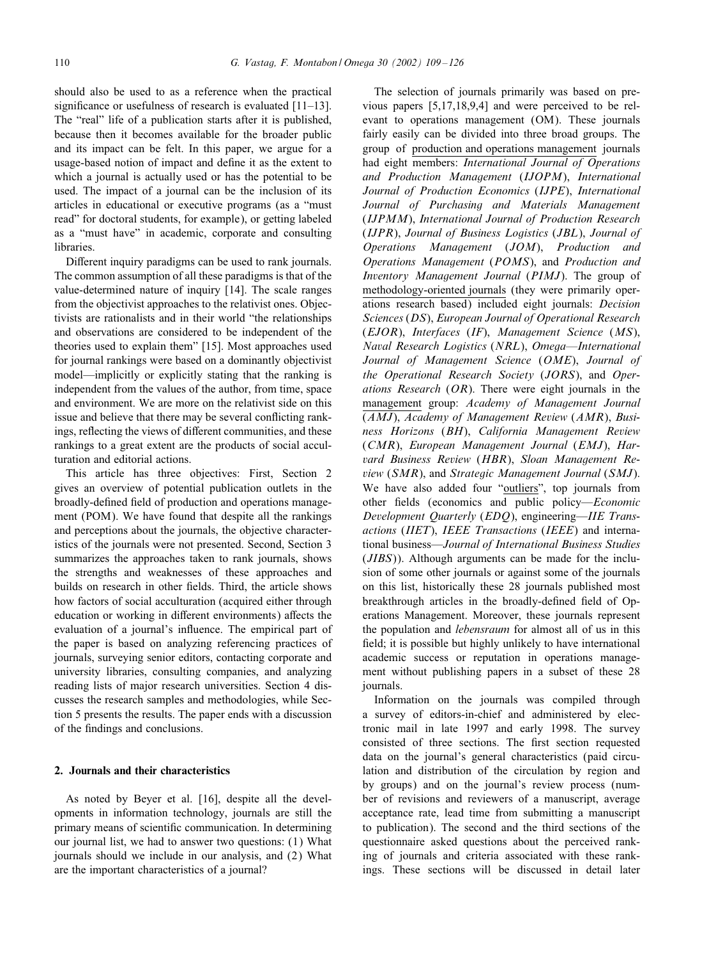should also be used to as a reference when the practical significance or usefulness of research is evaluated  $[11–13]$ . The "real" life of a publication starts after it is published, because then it becomes available for the broader public and its impact can be felt. In this paper, we argue for a usage-based notion of impact and define it as the extent to which a journal is actually used or has the potential to be used. The impact of a journal can be the inclusion of its articles in educational or executive programs (as a "must read" for doctoral students, for example), or getting labeled as a "must have" in academic, corporate and consulting libraries.

Different inquiry paradigms can be used to rank journals. The common assumption of all these paradigms is that of the value-determined nature of inquiry [14]. The scale ranges from the objectivist approaches to the relativist ones. Objectivists are rationalists and in their world "the relationships and observations are considered to be independent of the theories used to explain them" [15]. Most approaches used for journal rankings were based on a dominantly objectivist model—implicitly or explicitly stating that the ranking is independent from the values of the author, from time, space and environment. We are more on the relativist side on this issue and believe that there may be several conflicting rankings, reflecting the views of different communities, and these rankings to a great extent are the products of social acculturation and editorial actions.

This article has three objectives: First, Section 2 gives an overview of potential publication outlets in the broadly-defined field of production and operations management (POM). We have found that despite all the rankings and perceptions about the journals, the objective characteristics of the journals were not presented. Second, Section 3 summarizes the approaches taken to rank journals, shows the strengths and weaknesses of these approaches and builds on research in other fields. Third, the article shows how factors of social acculturation (acquired either through education or working in different environments) affects the evaluation of a journal's influence. The empirical part of the paper is based on analyzing referencing practices of journals, surveying senior editors, contacting corporate and university libraries, consulting companies, and analyzing reading lists of major research universities. Section 4 discusses the research samples and methodologies, while Section 5 presents the results. The paper ends with a discussion of the findings and conclusions.

### **2. Journals and their characteristics**

As noted by Beyer et al. [16], despite all the developments in information technology, journals are still the primary means of scientific communication. In determining our journal list, we had to answer two questions: (1) What journals should we include in our analysis, and (2) What are the important characteristics of a journal?

The selection of journals primarily was based on previous papers [5,17,18,9,4] and were perceived to be relevant to operations management (OM). These journals fairly easily can be divided into three broad groups. The group of production and operations management journals had eight members: *International Journal of Operations and Production Management* (*IJOPM*), *International Journal of Production Economics* (*IJPE*), *International Journal of Purchasing and Materials Management* (*IJPMM*), *International Journal of Production Research* (*IJPR*), *Journal of Business Logistics* (*JBL*), *Journal of Operations Management* (*JOM*), *Production and Operations Management* (*POMS*), and *Production and Inventory Management Journal* (*PIMJ*). The group of methodology-oriented journals (they were primarily operations research based) included eight journals: *Decision Sciences* (*DS*), *European Journal of Operational Research* (*EJOR*), *Interfaces* (*IF*), *Management Science* (*MS*), *Naval Research Logistics* (*NRL*), *Omega—International Journal of Management Science* (*OME*), *Journal of the Operational Research Society* (*JORS*), and *Operations Research* (*OR*). There were eight journals in the management group: *Academy of Management Journal* (*AMJ*), *Academy of Management Review* (*AMR*), *Business Horizons* (*BH*), *California Management Review* (*CMR*), *European Management Journal* (*EMJ*), *Harvard Business Review* (*HBR*), *Sloan Management Review* (*SMR*), and *Strategic Management Journal* (*SMJ*). We have also added four "outliers", top journals from other 5elds (economics and public policy—*Economic Development Quarterly* (*EDQ*), engineering—*IIE Transactions* (*IIET*), *IEEE Transactions* (*IEEE*) and international business—*Journal of International Business Studies* (*JIBS*)). Although arguments can be made for the inclusion of some other journals or against some of the journals on this list, historically these 28 journals published most breakthrough articles in the broadly-defined field of Operations Management. Moreover, these journals represent the population and *lebensraum* for almost all of us in this field; it is possible but highly unlikely to have international academic success or reputation in operations management without publishing papers in a subset of these 28 journals.

Information on the journals was compiled through a survey of editors-in-chief and administered by electronic mail in late 1997 and early 1998. The survey consisted of three sections. The first section requested data on the journal's general characteristics (paid circulation and distribution of the circulation by region and by groups) and on the journal's review process (number of revisions and reviewers of a manuscript, average acceptance rate, lead time from submitting a manuscript to publication). The second and the third sections of the questionnaire asked questions about the perceived ranking of journals and criteria associated with these rankings. These sections will be discussed in detail later